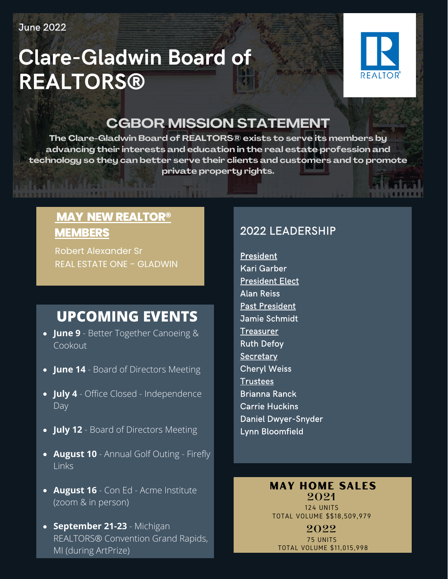**June 2022** 

# **Clare-Gladwin Board of REALTORS®**



## **CGBOR MISSION STATEMENT**

**The Clare-Gladwin Board of REALTORS® exists to serve its members by advancing their interests and education in the real estate profession and technology so they can better serve their clients and customers and to promote private property rights.**

### **MAY NEW REALTOR® MEMBERS**

Robert [Alexander Sr](https://mimls.paragonrels.com/ParagonLS/Admin/MaintainAgents.mvc/Modify/700213) REAL ESTATE ONE - GLADWIN

## **UPCOMING EVENTS**

- **June 9** Better Together Canoeing & Cookout
- **June 14** Board of Directors Meeting
- **July 4** Office Closed Independence **Day**
- **July 12** Board of Directors Meeting
- **August 10** Annual Golf Outing Firefly Links
- **August 16** Con Ed Acme Institute (zoom & in person)
- **September 21-23** Michigan REALTORS® Convention Grand Rapids, MI (during ArtPrize)

### 2022 LEADERSHIP

**President Kari Garber President Elect Alan Reiss Past President** Jamie Schmidt **Treasurer Ruth Defoy** Secretary **Cheryl Weiss Trustees Brianna Ranck Carrie Huckins Daniel Dwyer-Snyder** Lynn Bloomfield

#### MAY HOME SALES **2021**

124 UNITS TOTAL VOLUME \$\$18,509,979

**2022** 75 UNITS TOTAL VOLUME \$11,015,998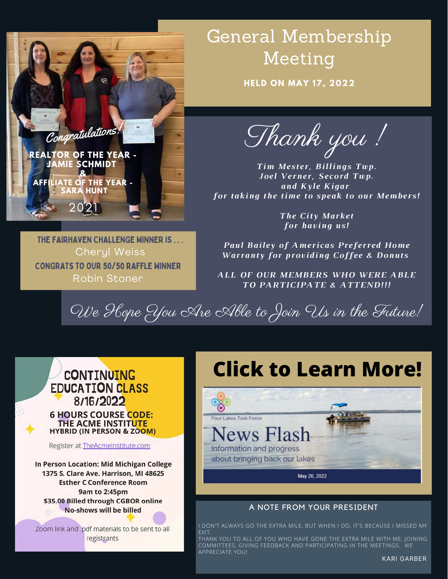

# General Membership Meeting

**HELD ON MAY 17, 2022**

Thank you !

*Tim Mester, Billings Twp. Joel Verner, Secord Twp. and Kyle Kigar for taking the time to speak to our Members!*

*The City Market for having us!*

*Paul Bailey of Americas Preferred Home Warranty for providing Coffee & Donuts*

*ALL OF OUR MEMBERS WHO WERE ABLE TO PARTICIPATE & ATTEND!!!*

We Hope You Are Able to Join Us in the Future!

#### **CONTINUING EDUCATION CLASS** 8/16/2022 **6 HOURS COURSE CODE:** THE ACME INSTITUTE **HYBRID (IN PERSON & ZOOM)**

CONGRATS TO OUR 50/50 RAFFLE WINNER Robin Stoner

THE FAIRHAVEN CHALLENGE WINNER IS . . . Cheryl Weiss

Register at TheAcmeInstitute.com

In Person Location: Mid Michigan College 1375 S. Clare Ave. Harrison, MI 48625 **Esther C Conference Room** 9am to 2:45pm \$35.00 Billed through CGBOR online **No-shows will be billed** 

Zoom link and .pdf materials to be sent to all registrants

# **Click to Learn More!**



#### A NOTE FROM YOUR PRESIDENT

I DON'T ALWAYS GO THE EXTRA MILE, BUT WHEN I DO, IT'S BECAUSE I MISSED MY **EXIT** 

THANK YOU TO ALL OF YOU WHO HAVE GONE THE EXTRA MILE WITH ME, JOINING COMMITTEES, GIVING FEEDBACK AND PARTICIPATING IN THE MEETINGS. WE APPRECIATE YOU!

KARI GARBER